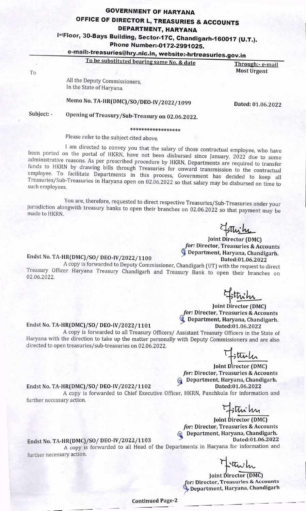#### **GOVERNMENT OF HARYANA OFFICE OF DIRECTOR L, TREASURIES & ACCOUNTS DEPARTMENT, HARYANA**

# IstFloor, 30-Bays Building, Sector-17C, Chandigarh-160017 (U.T.).

### **Phone Number:-0I 72-2991025.**

## **e-mail:.treasuries@h.nic.in, website:hrtreasuries.gov.in**

**To be substituted bearing same No. & date Through:- e-mail** To **Most Urgent** 

> All the Deputy Commissioners, In the State of Haryana.

**Memo No. TA-HR(DMC)/SO/DEO..JV/2022/1099 Dated: 01.06.2022** 

## Subject: - Opening of Treasury/Sub-Treasury on 02.06.2022.

\*\*\*\*\*\*\*\*\*\*\*\*\*\*\*\*\*

Please refer to the subject cited above.

I am directed to convey you that the salary of those contractual employee, who have been ported on the portal of HKRN, have not been disbursed since January, 2022 due to some administrative reasons. As per prescribed procedure by HKRN, Departments are required to transfer funds to HKRN by drawing bills through Treasuries for onward transmission to the contractual employee. To facilitate Departments in this process, Government has decided to keep all Treasuries/Sub-Treasuries in Haryana open on 02.06.2022 so that salary may be disbursed on time to such employees.

You are, therefore, requested to direct respective Treasuries/Sub-Treasuries under your jurisdiction alongwith treasury banks to open their branches on 02.06.2022 so that payment may be made to HKRN.

 $H_{\text{min}}$ 

# **Joint Director (DMC)**  *for:* **Director, Treasuries** & Accounts

#### Department, Haryana, Chandigarh. Endst **No.** TA**-HR(DMC)/SO/ DEO-lV/2022/1100 Dated:01.06.2022**

A copy is forwarded to Deputy Commissioner, Chandigarh (UT) with the request to direct Treasury Officer Haryana Treasury Chandigarh and Treasury Bank to open their branches on 02.06.2022.

**Joint Director (DMC)** 

*for:* **Director, Treasuries** & Accounts ¶, Department, Haryana, Chandigarh.

#### Endst **No.** TA**-HR(DMC)/SO/ DEO-IV/2022/ 1101 Dated:01.06.2022**

A copy is forwarded to all Treasury Officers/ Assistant Treasury Officers in the State of Haryana with the direction to take up the matter personally with Deputy Commissioners and are also directed to open treasuries/sub-treasuries on 02.06.2022.

ttulu

**Joint Director (DMC)**  *for:* **Director, Treasuries** & Accounts **Q** Department, Haryana, Chandigarh.

#### Endst **No.** TA**-HR(DMC)/SO/ DEO-IV/2022/ 1102** Dated:01.06.2022

A copy is forwarded to Chief Executive Officer, HKRN, Panchkula for information and further necessary action.

Fittinihy

Joint Director (DMC) *for:* Director, Treasuries & Accounts **Q** Department, Haryana, Chandigarh.

Endst No. TA-HR(DMC)/SO/ DEO-IV/2022/1103 Dated:01.06.2022

A copy is forwarded to all Head of the Departments in Haryana for information and further necessary action.

Franch

Joint Director (DMC) **for: Director, Treasuries** & **Accounts**  '. **Department, Haryana, Chandigarh** 

**Continued Page**-2